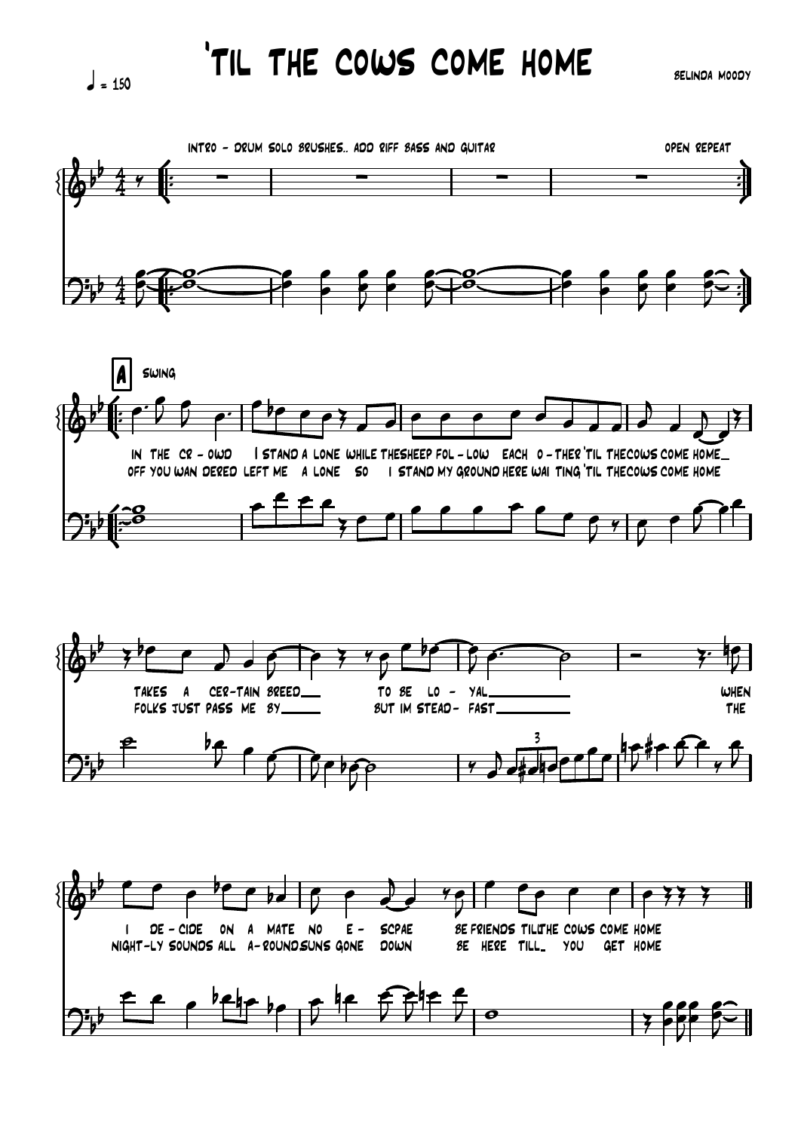$= 150$ 

'til the cows come home

belinda moody